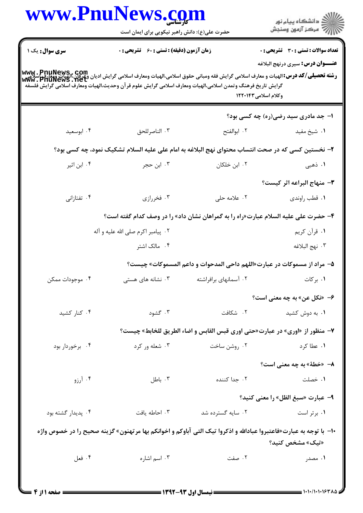| ِ<br>∭ دانشڪاه پيام نور<br>∭ مرڪز آزمون وسنڊش |                                                                                                                                                                                                                                                                                                             |                                                    | www.PnuNews.com    |
|-----------------------------------------------|-------------------------------------------------------------------------------------------------------------------------------------------------------------------------------------------------------------------------------------------------------------------------------------------------------------|----------------------------------------------------|--------------------|
|                                               |                                                                                                                                                                                                                                                                                                             | حضرت علی(ع): دانش راهبر نیکویی برای ایمان است      |                    |
| <b>تعداد سوالات : تستی : 30 ٪ تشریحی : 0</b>  |                                                                                                                                                                                                                                                                                                             | <b>زمان آزمون (دقیقه) : تستی : 60 ٪ تشریحی : 0</b> | سری سوال: یک ۱     |
| <b>عنـــوان درس:</b> سیری درنهج البلاغه       | www . PnuNews , Com<br> و <b>شته تحصیلی/کد درس:</b> الهیات و معارف اسلامی گرایش فقه ومبانی حقوق اسلامی،الهیات ومعارف اسلامی گرایش ادیان وعواری<br> www . PnuNewS . Net<br>گرايش تاريخ فرهنگ وتمدن اسلامى،الهيات ومعارف اسلامى گرايش علوم قرآن وحديث،الهيات ومعارف اسلامى گرايش فلسفه<br>وكلام اسلامى١٢٢٠١۴٣ |                                                    |                    |
| ا- جد مادری سید رضی(ره) چه کسی بود؟           |                                                                                                                                                                                                                                                                                                             |                                                    |                    |
| ۰۱ شیخ مفید                                   | ٢. ابوالفتح                                                                                                                                                                                                                                                                                                 | ۰۳ الناصرللحق                                      | ۰۴ ابوسعید         |
|                                               | ۲– نخستین کسی که در صحت انتساب محتوای نهج البلاغه به امام علی علیه السلام تشکیک نمود، چه کسی بود؟                                                                                                                                                                                                           |                                                    |                    |
| ۱. ذهبی                                       | ۰۲ ابن خلکان                                                                                                                                                                                                                                                                                                | ۰۳ ابن حجر                                         | ۰۴ ابن اثیر        |
| ٣- منهاج البراعه اثر كيست؟                    |                                                                                                                                                                                                                                                                                                             |                                                    |                    |
| ٠١ قطب راوندي                                 | ۰۲ علامه حلی                                                                                                                                                                                                                                                                                                | ۰۳ فخررازي                                         | ۰۴ تفتازانی        |
|                                               | ۴- حضرت علی علیه السلام عبارت«راه را به گمراهان نشان داد» را در وصف کدام گفته است؟                                                                                                                                                                                                                          |                                                    |                    |
| ۰۱ قرأن کريم                                  |                                                                                                                                                                                                                                                                                                             | ۰۲ پیامبر اکرم صلی الله علیه و آله                 |                    |
| ۰۳ نهج البلاغه                                |                                                                                                                                                                                                                                                                                                             | ۰۴ مالک اشتر                                       |                    |
|                                               | ۵– مراد از مسموکات در عبارت«اللهم داحی المدحوات و داعم المسموکات» چیست؟                                                                                                                                                                                                                                     |                                                    |                    |
| ۰۱ بر کات                                     | ۰۲ آسمانهای برافراشته سیسم ۲۰ نشانه های هستی                                                                                                                                                                                                                                                                |                                                    | ۰۴ موجودات ممکن    |
| ۶- «نکل عن» به چه معنی است؟                   |                                                                                                                                                                                                                                                                                                             |                                                    |                    |
| ۰۱ به دوش کشید                                | ٠٢ شكافت                                                                                                                                                                                                                                                                                                    | ۰۳ گشود                                            | ۰۴ کنار کشید       |
|                                               | ۷- منظور از «اوری» در عبارت«حتی اوری قبس القابس و اضاء الطریق للخابط» چیست؟                                                                                                                                                                                                                                 |                                                    |                    |
| ۰۱ عطا کرد                                    | ۰۲ روشن ساخت                                                                                                                                                                                                                                                                                                | ۰۳ شعله ور کرد                                     | ۰۴ برخوردار بود    |
| ۸– «خطهٔ» به چه معنی است؟                     |                                                                                                                                                                                                                                                                                                             |                                                    |                    |
| ۰۱ خصلت                                       | ۰۲ جدا کننده                                                                                                                                                                                                                                                                                                | باطل $\cdot$                                       | ۰۴ آرزو            |
| <b>۹</b> - عبارت «سبغ الظل» را معنی کنید؟     |                                                                                                                                                                                                                                                                                                             |                                                    |                    |
| ۰۱ برتر است                                   | ۰۲ سایه گسترده شد                                                                                                                                                                                                                                                                                           | ۰۳ احاطه یافت                                      | ۰۴ پدیدار گشته بود |
| «تیک» مشخص کنید؟                              | +ا–  با توجه به عبارت«فاعتبروا عبادالله و اذکروا تیک التی آباوکم و اخوانکم بها مرتهنون» گزینه صحیح را در خصوص واژه                                                                                                                                                                                          |                                                    |                    |
| ۰۱ مصدر                                       | ۰۲ صفت                                                                                                                                                                                                                                                                                                      | ۰۳ اسم اشاره                                       | ۰۴ فعل             |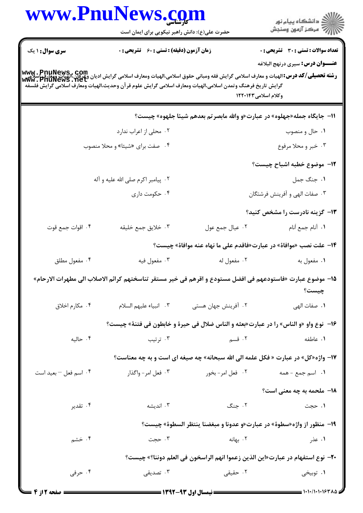| www.PnuNews.com                                                                                                                                                                                                                                                                                        | حضرت علی(ع): دانش راهبر نیکویی برای ایمان است      |                     | ر<br>دانشڪاه پيام نور)<br>ا∛ مرڪز آزمون وسنڊش                                                                      |
|--------------------------------------------------------------------------------------------------------------------------------------------------------------------------------------------------------------------------------------------------------------------------------------------------------|----------------------------------------------------|---------------------|--------------------------------------------------------------------------------------------------------------------|
| <b>سری سوال : ۱ یک</b>                                                                                                                                                                                                                                                                                 | <b>زمان آزمون (دقیقه) : تستی : 60 ٪ تشریحی : 0</b> |                     | <b>تعداد سوالات : تستی : 30 ٪ تشریحی : 0</b>                                                                       |
| <b>www . PnuNews , com</b><br><b>رشته تحصیلی/کد درس:</b> الهیات و معارف اسلامی گرایش فقه ومبانی حقوق اسلامی،الهیات ومعارف اسلامی گرایش ادیان وعرفان،الهیات وهعارف<br>Www . PnuNewS . Net<br>گرايش تاريخ فرهنگ وتمدن اسلامي،الهيات ومعارف اسلامي گرايش علوم قرآن وحديث،الهيات ومعارف اسلامي گرايش فلسفه |                                                    |                     | <b>عنـــوان درس:</b> سیری درنهج البلاغه<br>وكلام اسلامى١٢٢٠١۴٣                                                     |
|                                                                                                                                                                                                                                                                                                        |                                                    |                     | 11- جايگاه جمله«جهلوه» در عبارت«و والله مابصرتم بعدهم شيئا جلهوه» چيست؟                                            |
|                                                                                                                                                                                                                                                                                                        | ۰۲ محلی از اعراب ندارد                             |                     | ۰۱ حال و منصوب                                                                                                     |
|                                                                                                                                                                                                                                                                                                        | ۰۴ صفت برای «شیئا» و محلا منصوب                    |                     | ۰۳ خبر و محلا مرفوع                                                                                                |
|                                                                                                                                                                                                                                                                                                        |                                                    |                     | <b>۱۲</b> – موضوع خطبه اشباح چیست؟                                                                                 |
|                                                                                                                                                                                                                                                                                                        | ۰۲ پیامبر اکرم صلی الله علیه و آله                 |                     | ١. جنگ جمل                                                                                                         |
|                                                                                                                                                                                                                                                                                                        | ۰۴ حکومت داری                                      |                     | ۰۳ صفات الهی و آفرینش فرشتگان                                                                                      |
|                                                                                                                                                                                                                                                                                                        |                                                    |                     | <b>۱۳</b> - گزینه نادرست را مشخص کنید؟                                                                             |
| ۰۴ اقوات جمع قوت                                                                                                                                                                                                                                                                                       | ۰۳ خلايق جمع خليقه                                 | ۰۲ عيال جمع عول     | ٠١. آنام جمع أنام                                                                                                  |
|                                                                                                                                                                                                                                                                                                        |                                                    |                     | ۱۴- علت نصب «موافاة» در عبارت«فاقدم على ما نهاه عنه موافاة» چیست؟                                                  |
| ۰۴ مفعول مطلق                                                                                                                                                                                                                                                                                          | ۰۳ مفعول فيه                                       | ۰۲ مفعول له         | ۰۱ مفعول به                                                                                                        |
|                                                                                                                                                                                                                                                                                                        |                                                    |                     | 1۵– موضوع عبارت «فاستودعهم في افضل مستودع و اقرهم في خير مستقر تناسختهم كرائم الاصلاب الي مطهرات الارحام»<br>چیست؟ |
| ۰۴ مکارم اخلاق                                                                                                                                                                                                                                                                                         | ٢. انبياء عليهم السلام                             | ۰۲ آفرینش جهان هستی | ٠١ صفات الهي                                                                                                       |
|                                                                                                                                                                                                                                                                                                        |                                                    |                     | ۱۶−  نوع واو «و الناس» را در عبارت«بعثه و الناس ضلال في حيرة و خابطون في فتنة» چيست؟                               |
| ۰۴ حاليه                                                                                                                                                                                                                                                                                               | ۰۳ ترتیب                                           | ۰۲ قسم              | ۰۱ عاطفه                                                                                                           |
|                                                                                                                                                                                                                                                                                                        |                                                    |                     | ۱۷- واژه«کل» در عبارت « فکل علمه الی الله سبحانه» چه صیغه ای است و به چه معناست؟                                   |
| ۰۴ اسم فعل – بعید است                                                                                                                                                                                                                                                                                  | ۰۳ فعل امر- واگذار                                 | ۰۲ فعل امر- بخور    | <b>۱.</b> اسم جمع - همه                                                                                            |
|                                                                                                                                                                                                                                                                                                        |                                                    |                     | <b>۱۸- ملحمه به چه معنی است؟</b>                                                                                   |
| ۰۴ تقدیر                                                                                                                                                                                                                                                                                               | ۰۳ اندیشه                                          | ۰۲ جنگ              | ۱. حجت                                                                                                             |
|                                                                                                                                                                                                                                                                                                        |                                                    |                     | 19- منظور از واژه«سطوة» در عبارت«و عدونا و مبغضنا ينتظر السطوة» چيست؟                                              |
| ۰۴ خشم                                                                                                                                                                                                                                                                                                 | ۰۳ حجت                                             | ۰۲ بهانه            | ۱. عذر                                                                                                             |
|                                                                                                                                                                                                                                                                                                        |                                                    |                     | +٢- نوع استفهام در عبارت«اين الذين زعموا انهم الراسخون في العلم دوننا؟» چيست؟                                      |
| ۰۴ حرفی                                                                                                                                                                                                                                                                                                | ۰۳ تصدیقی                                          | ۰۲ حقیقی            | ۰۱ توبیخی                                                                                                          |
|                                                                                                                                                                                                                                                                                                        |                                                    |                     | =    \_\\.\\.\>\%\\^_1                                                                                             |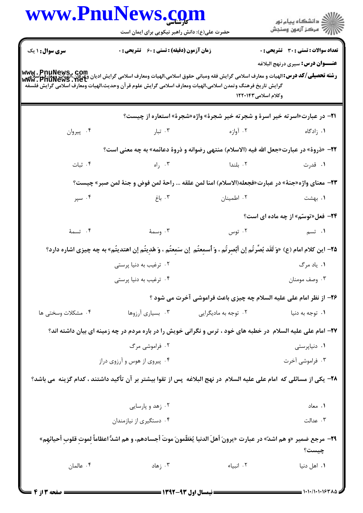|                        | حضرت علی(ع): دانش راهبر نیکویی برای ایمان است |                                                                                                                                     |                                                                                         |
|------------------------|-----------------------------------------------|-------------------------------------------------------------------------------------------------------------------------------------|-----------------------------------------------------------------------------------------|
| <b>سری سوال : ۱ یک</b> | زمان آزمون (دقیقه) : تستی : 60 ٪ تشریحی : 0   |                                                                                                                                     | <b>تعداد سوالات : تستی : 30 ٪ تشریحی : 0</b><br><b>عنـــوان درس:</b> سیری درنهج البلاغه |
|                        |                                               | گرايش تاريخ فرهنگ وتمدن اسلامي،الهيات ومعارف اسلامي گرايش علوم قر آن وحديث،الهيات ومعارف اسلامي گرايش فلسفه<br>وكلام اسلامى١٢٢٠١۴٣  |                                                                                         |
|                        |                                               | 21- در عبارت«اسرته خیر اسرهٔ و شجرته خیر شجرهٔ» واژه«شجرهٔ» استعاره از چیست؟                                                        |                                                                                         |
| ۰۴ پيروان              |                                               | ۰۲ آوازه در ۲۰۰ تبار                                                                                                                | ۰۱ زادگاه                                                                               |
|                        |                                               | 22- «ذروة» در عبارت«جعل الله فيه (الاسلام) منتهى رضوانه و ذروة دعائمه» به چه معنى است؟                                              |                                                                                         |
| ۰۴ ثبات                | ا راه $\cdot$ ۳                               | ۰۲ بلندا                                                                                                                            | ۰۱ قدرت                                                                                 |
|                        |                                               | 7٣- معناى واژه«جنة» در عبارت«فجعله(الاسلام) امنا لمن علقه  راحة لمن فوض و جنة لمن صبر» چيست؟                                        |                                                                                         |
| ۰۴ سپر                 | ۰۳ باغ                                        | ۰۲ اطمینان                                                                                                                          | ۰۱ بهشت                                                                                 |
|                        |                                               |                                                                                                                                     | <b>۲۴</b> - فعل«توسّم» از چه ماده ای است؟                                               |
| ۰۴ تسمهٔ               | ۰۳ وسمهٔ                                      | ۰۲ توس                                                                                                                              | ۰۱ تسم                                                                                  |
|                        |                                               | 7۵– این کلام امام (ع) «وَ لَقَد بُصِّرتُم إن أبّصِرتُم ، وَ أسمِعتُم  إن سَمِعتُم ، وَ هُدِيتُم إن اهتديتُم» به چه چيزى اشاره دارد؟ |                                                                                         |
|                        | ۰۲ ترغیب به دنیا پرستی                        |                                                                                                                                     | ۰۱ ياد مرگ                                                                              |
|                        | ۰۴ ترغیب به دنیا پرستی                        |                                                                                                                                     | ۰۳ وصف مومنان                                                                           |
|                        |                                               | ۲۶- از نظر امام علی علیه السلام چه چیزی باعث فراموشی آخرت می شود ؟                                                                  |                                                                                         |
| ۰۴ مشکلات وسختی ها     | ۰۳ بسیاری آرزوها                              | ۰۲ توجه به مادیگرایی                                                                                                                | ۰۱ توجه به دنيا                                                                         |
|                        |                                               | ۲۷– امام علی علیه السلام ً در خطبه های خود ، ترس و نگرانی خویش را در باره مردم در چه زمینه ای بیان داشته اند؟                       |                                                                                         |
|                        | ۰۲ فراموشی مرگ                                |                                                                                                                                     | ٠١ دنياپرستى                                                                            |
|                        | ۰۴ پیروی از هوس و آرزوی دراز                  |                                                                                                                                     | ۰۳ فراموشی آخرت                                                                         |
|                        |                                               | ۲۸– یکی از مسائلی که امام علی علیه السلام در نهج البلاغه پس از تقوا بیشتر بر آن تأکید داشتند ، کدام گزینه می باشد؟                  |                                                                                         |
|                        | ۰۲ زهد و پارسایی                              |                                                                                                                                     | ٠١. معاد                                                                                |
|                        | ۰۴ دستگیری از نیازمندان                       |                                                                                                                                     | ٠٣ عدالت                                                                                |
|                        |                                               | 7٩- مرجع ضمير «و هم اشدّ» در عبارت «يرونَ أهلَ الدنيا يُعَظّمونَ موتَ أجسادهم، و هم اشدٌّ اعظاماً لِموتِ قلوبِ أحيائهِم»            | چیست؟                                                                                   |
| ۰۴ عالمان              | ۰۳ زهاد                                       | ٠٢ انبياء                                                                                                                           | ٠١. اهل دنيا                                                                            |